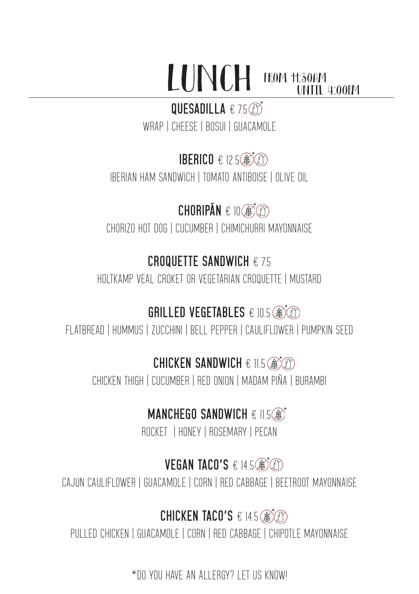#### LUNCH from 11:30AM until 4:00PM

#### QUESADILLA € 7.5**th**

WRAP | CHEESE | BOSUI | GUACAMOLE

#### **IBERICO € 12.5**

IBERIAN HAM SANDWICH | TOMATO ANTIBOISE | OLIVE OIL

# $CHORIPÁN \in 10$

CHORIZO HOT DOG | CUCUMBER | CHIMICHURRI MAYONNAISE

#### **CROQUETTE SANDWICH** € 7.5

HOLTKAMP VEAL CROKET OR VEGETARIAN CROQUETTE | MUSTARD

### GRILLED VEGETABLES € 10.5

FLATBREAD | HUMMUS | ZUCCHINI | BELL PEPPER | CAULIFLOWER | PUMPKIN SEED

#### **CHICKEN SANDWICH € 11.5 3**

CHICKEN THIGH | CUCUMBER | RED ONION | MADAM PIÑA | BURAMBI

### **MANCHEGO SANDWICH € 11.5 3<sup>\*</sup>**

ROCKET | HONEY | ROSEMARY | PECAN

#### **VEGAN TACO'S € 14.5 ®**

CAJUN CAULIFLOWER | GUACAMOLE | CORN | RED CABBAGE | BEETROOT MAYONNAISE

### **CHICKEN TACO'S € 14.5 @\***

PULLED CHICKEN | GUACAMOLE | CORN | RED CABBAGE | CHIPOTLE MAYONNAISE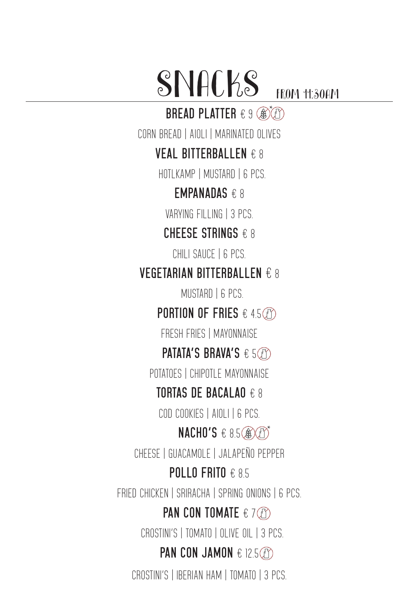SNACKS FROM 11:30AM

**BREAD PLATTER € 9 ®** 

CORN BREAD | AIOLI | MARINATED OLIVES

**VEAL BITTERBALLEN** € 8

HOTLKAMP | MUSTARD | 6 PCS

**EMPANADAS** € 8

VARYING FILLING | 3 PCS

**CHEESE STRINGS** € 8

CHILI SAUCE | 6 PCS.

**VEGETARIAN BITTERBALLEN** € 8

MUSTARD | 6 PCS.

**PORTION OF FRIES** € 4.5

FRESH FRIES | MAYONNAISE

**PATATA'S BRAVA'S** € 5

POTATOES | CHIPOTLE MAYONNAISE

**TORTAS DE BACALAO** € 8

COD COOKIES | AIOLI | 6 PCS.

**NACHO'S € 8.5 ®©** 

CHEESE | GUACAMOLE | JALAPEÑO PEPPER

**POLLO FRITO** € 8.5

FRIED CHICKEN | SRIRACHA | SPRING ONIONS | 6 PCS.

**PAN CON T0MATE** € 7

CROSTINI'S | TOMATO | OLIVE OIL | 3 PCS.

**PAN CON JAMON € 12.5** *(f)* 

CROSTINI'S | IBERIAN HAM | TOMATO | 3 PCS.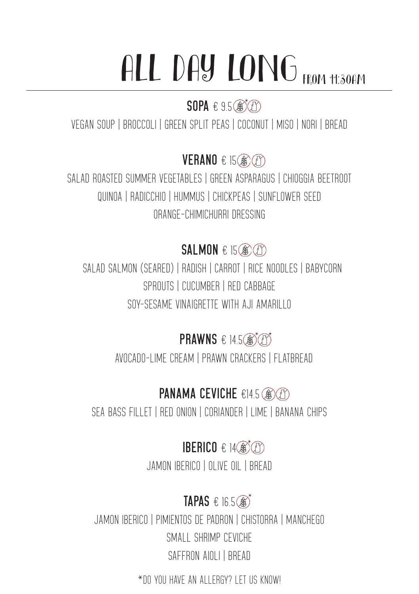# ALL DAY LONG FROM 11:30AM

#### **SOPA** € 9.5 3

VEGAN SOUP | BROCCOLI | GREEN SPLIT PEAS | COCONUT | MISO | NORI | BREAD

**VERANO** € 15

SALAD ROASTED SUMMER VEGETABLES | GREEN ASPARAGUS | CHIOGGIA BEETROOT QUINOA | RADICCHIO | HUMMUS | CHICKPEAS | SUNFLOWER SEED ORANGE-CHIMICHURRI DRESSING

#### **SALMON** € 15

 SALAD SALMON (SEARED) | RADISH | CARROT | RICE NOODLES | BABYCORN SPROUTS | CUCUMBER | RED CABBAGE SOY-SESAME VINAIGRETTE WITH AJI AMARILLO

**PRAWNS € 14.5 @ 3** 

AVOCADO-LIME CREAM | PRAWN CRACKERS | FLATBREAD

### **PANAMA CEVICHE** €14.5

SEA BASS FILLET | RED ONION | CORIANDER | LIME | BANANA CHIPS

**IBERICO € 14®** 

JAMON IBERICO | OLIVE OIL | BREAD

# **TAPAS € 16.5 3**

JAMON IBERICO | PIMIENTOS DE PADRON | CHISTORRA | MANCHEGO SMALL SHRIMP CEVICHE SAFFRON AIOLI | BREAD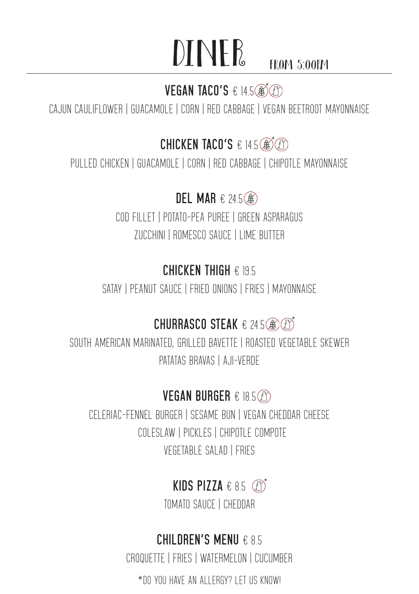# $DINER$  from 5:00PM

#### **VEGAN TACO'S € 14.5 <b>@**

CAJUN CAULIFLOWER | GUACAMOLE | CORN | RED CABBAGE | VEGAN BEETROOT MAYONNAISE

#### **CHICKEN TACO'S € 14.5 3**

PULLED CHICKEN | GUACAMOLE | CORN | RED CABBAGE | CHIPOTLE MAYONNAISE

#### **DEL MAR** € 24.5

COD FILLET | POTATO-PEA PUREE | GREEN ASPARAGUS ZUCCHINI | ROMESCO SAUCE | LIME BUTTER

#### **CHICKEN THIGH** € 19.5

SATAY | PEANUT SAUCE | FRIED ONIONS | FRIES | MAYONNAISE

#### **CHURRASCO STEAK € 24.5 8 3**

SOUTH AMERICAN MARINATED, GRILLED BAVETTE | ROASTED VEGETABLE SKEWER PATATAS BRAVAS | AJI-VERDE

#### **VEGAN BURGER** € 18.5

CFI FRIAC-FENNEL BURGER | SESAME BUN | VEGAN CHEDDAR CHEESE COLESLAW | PICKLES | CHIPOTLE COMPOTE VEGETABLE SALAD | FRIES

### **KIDS PIZZA € 8.5** *©*

TOMATO SAUCE | CHEDDAR

#### **CHILDREN'S MENU** € 8.5

CROQUETTE | FRIES | WATERMELON | CUCUMBER